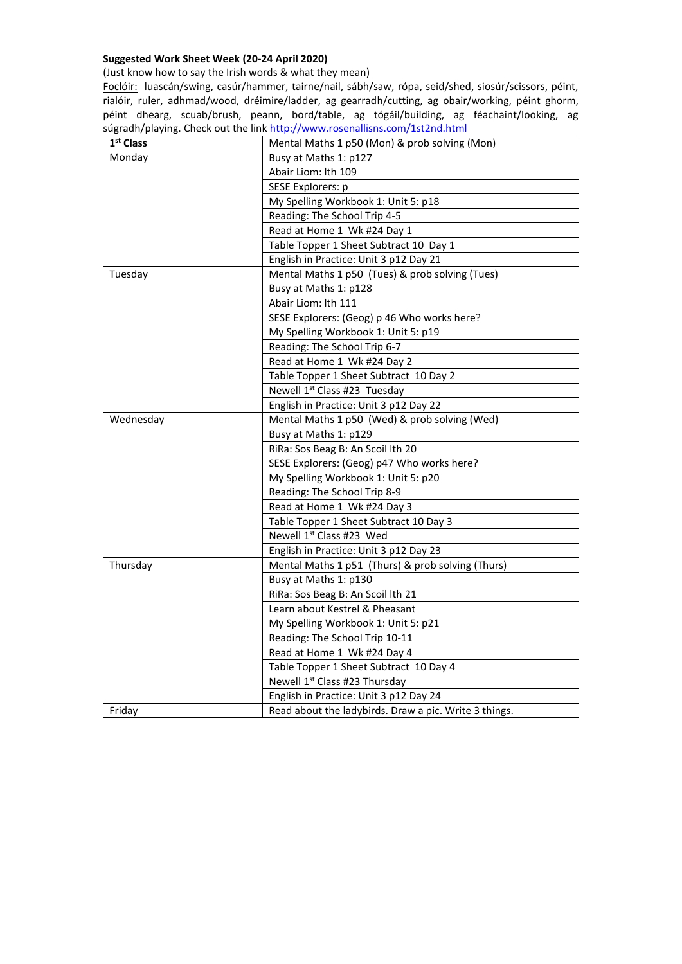## **Suggested Work Sheet Week (20-24 April 2020)**

(Just know how to say the Irish words & what they mean)

Foclóir: luascán/swing, casúr/hammer, tairne/nail, sábh/saw, rópa, seid/shed, siosúr/scissors, péint, rialóir, ruler, adhmad/wood, dréimire/ladder, ag gearradh/cutting, ag obair/working, péint ghorm, péint dhearg, scuab/brush, peann, bord/table, ag tógáil/building, ag féachaint/looking, ag súgradh/playing. Check out the link http://www.rosenallisns.com/1st2nd.html

| 1 <sup>st</sup> Class | Mental Maths 1 p50 (Mon) & prob solving (Mon)         |
|-----------------------|-------------------------------------------------------|
| Monday                | Busy at Maths 1: p127                                 |
|                       | Abair Liom: lth 109                                   |
|                       | SESE Explorers: p                                     |
|                       | My Spelling Workbook 1: Unit 5: p18                   |
|                       | Reading: The School Trip 4-5                          |
|                       | Read at Home 1 Wk #24 Day 1                           |
|                       | Table Topper 1 Sheet Subtract 10 Day 1                |
|                       | English in Practice: Unit 3 p12 Day 21                |
| Tuesday               | Mental Maths 1 p50 (Tues) & prob solving (Tues)       |
|                       | Busy at Maths 1: p128                                 |
|                       | Abair Liom: lth 111                                   |
|                       | SESE Explorers: (Geog) p 46 Who works here?           |
|                       | My Spelling Workbook 1: Unit 5: p19                   |
|                       | Reading: The School Trip 6-7                          |
|                       | Read at Home 1 Wk #24 Day 2                           |
|                       | Table Topper 1 Sheet Subtract 10 Day 2                |
|                       | Newell 1 <sup>st</sup> Class #23 Tuesday              |
|                       | English in Practice: Unit 3 p12 Day 22                |
| Wednesday             | Mental Maths 1 p50 (Wed) & prob solving (Wed)         |
|                       | Busy at Maths 1: p129                                 |
|                       | RiRa: Sos Beag B: An Scoil lth 20                     |
|                       | SESE Explorers: (Geog) p47 Who works here?            |
|                       | My Spelling Workbook 1: Unit 5: p20                   |
|                       | Reading: The School Trip 8-9                          |
|                       | Read at Home 1 Wk #24 Day 3                           |
|                       | Table Topper 1 Sheet Subtract 10 Day 3                |
|                       | Newell 1 <sup>st</sup> Class #23 Wed                  |
|                       | English in Practice: Unit 3 p12 Day 23                |
| Thursday              | Mental Maths 1 p51 (Thurs) & prob solving (Thurs)     |
|                       | Busy at Maths 1: p130                                 |
|                       | RiRa: Sos Beag B: An Scoil lth 21                     |
|                       | Learn about Kestrel & Pheasant                        |
|                       | My Spelling Workbook 1: Unit 5: p21                   |
|                       | Reading: The School Trip 10-11                        |
|                       | Read at Home 1 Wk #24 Day 4                           |
|                       | Table Topper 1 Sheet Subtract 10 Day 4                |
|                       | Newell 1 <sup>st</sup> Class #23 Thursday             |
|                       | English in Practice: Unit 3 p12 Day 24                |
| Friday                | Read about the ladybirds. Draw a pic. Write 3 things. |